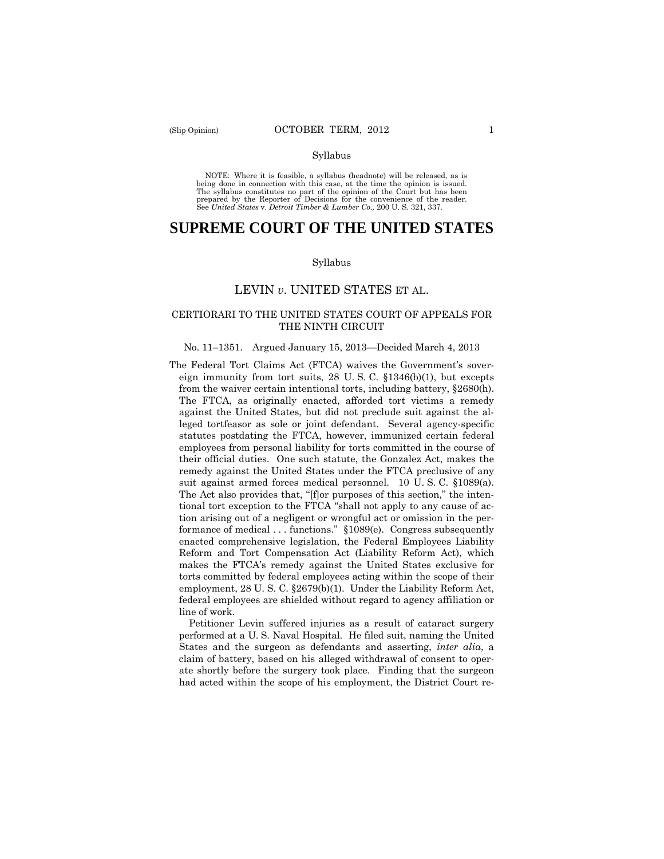#### Syllabus

 NOTE: Where it is feasible, a syllabus (headnote) will be released, as is being done in connection with this case, at the time the opinion is issued. The syllabus constitutes no part of the opinion of the Court but has been<br>prepared by the Reporter of Decisions for the convenience of the reader.<br>See United States v. Detroit Timber & Lumber Co., 200 U.S. 321, 337.

# **SUPREME COURT OF THE UNITED STATES**

#### Syllabus

## LEVIN *v*. UNITED STATES ET AL.

### CERTIORARI TO THE UNITED STATES COURT OF APPEALS FOR THE NINTH CIRCUIT

#### No. 11–1351. Argued January 15, 2013—Decided March 4, 2013

 The FTCA, as originally enacted, afforded tort victims a remedy The Federal Tort Claims Act (FTCA) waives the Government's sovereign immunity from tort suits, 28 U. S. C. §1346(b)(1), but excepts from the waiver certain intentional torts, including battery, §2680(h). against the United States, but did not preclude suit against the alleged tortfeasor as sole or joint defendant. Several agency-specific statutes postdating the FTCA, however, immunized certain federal employees from personal liability for torts committed in the course of their official duties. One such statute, the Gonzalez Act, makes the remedy against the United States under the FTCA preclusive of any suit against armed forces medical personnel. 10 U. S. C. §1089(a). The Act also provides that, "[f]or purposes of this section," the intentional tort exception to the FTCA "shall not apply to any cause of action arising out of a negligent or wrongful act or omission in the performance of medical . . . functions." §1089(e). Congress subsequently enacted comprehensive legislation, the Federal Employees Liability Reform and Tort Compensation Act (Liability Reform Act), which makes the FTCA's remedy against the United States exclusive for torts committed by federal employees acting within the scope of their employment, 28 U. S. C. §2679(b)(1). Under the Liability Reform Act, federal employees are shielded without regard to agency affiliation or line of work.

Petitioner Levin suffered injuries as a result of cataract surgery performed at a U. S. Naval Hospital. He filed suit, naming the United States and the surgeon as defendants and asserting, *inter alia*, a claim of battery, based on his alleged withdrawal of consent to operate shortly before the surgery took place. Finding that the surgeon had acted within the scope of his employment, the District Court re-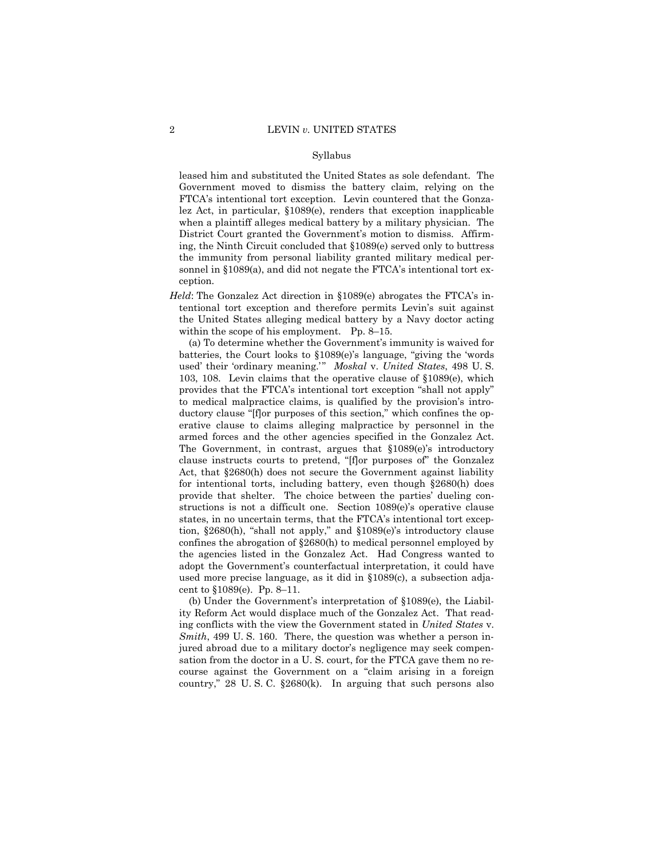#### Syllabus

leased him and substituted the United States as sole defendant. The Government moved to dismiss the battery claim, relying on the FTCA's intentional tort exception. Levin countered that the Gonzalez Act, in particular, §1089(e), renders that exception inapplicable when a plaintiff alleges medical battery by a military physician. The District Court granted the Government's motion to dismiss. Affirming, the Ninth Circuit concluded that §1089(e) served only to buttress the immunity from personal liability granted military medical personnel in §1089(a), and did not negate the FTCA's intentional tort exception.

*Held*: The Gonzalez Act direction in §1089(e) abrogates the FTCA's intentional tort exception and therefore permits Levin's suit against the United States alleging medical battery by a Navy doctor acting within the scope of his employment. Pp. 8–15.

(a) To determine whether the Government's immunity is waived for batteries, the Court looks to §1089(e)'s language, "giving the 'words used' their 'ordinary meaning.' " *Moskal* v. *United States*, 498 U. S. 103, 108. Levin claims that the operative clause of §1089(e), which provides that the FTCA's intentional tort exception "shall not apply" to medical malpractice claims, is qualified by the provision's introductory clause "[f]or purposes of this section," which confines the operative clause to claims alleging malpractice by personnel in the armed forces and the other agencies specified in the Gonzalez Act. The Government, in contrast, argues that §1089(e)'s introductory clause instructs courts to pretend, "[f]or purposes of" the Gonzalez Act, that §2680(h) does not secure the Government against liability for intentional torts, including battery, even though §2680(h) does provide that shelter. The choice between the parties' dueling constructions is not a difficult one. Section 1089(e)'s operative clause states, in no uncertain terms, that the FTCA's intentional tort exception, §2680(h), "shall not apply," and §1089(e)'s introductory clause confines the abrogation of §2680(h) to medical personnel employed by the agencies listed in the Gonzalez Act. Had Congress wanted to adopt the Government's counterfactual interpretation, it could have used more precise language, as it did in §1089(c), a subsection adjacent to §1089(e). Pp. 8–11.

(b) Under the Government's interpretation of §1089(e), the Liability Reform Act would displace much of the Gonzalez Act. That reading conflicts with the view the Government stated in *United States* v. *Smith*, 499 U. S. 160. There, the question was whether a person injured abroad due to a military doctor's negligence may seek compensation from the doctor in a U. S. court, for the FTCA gave them no recourse against the Government on a "claim arising in a foreign country," 28 U. S. C. §2680(k). In arguing that such persons also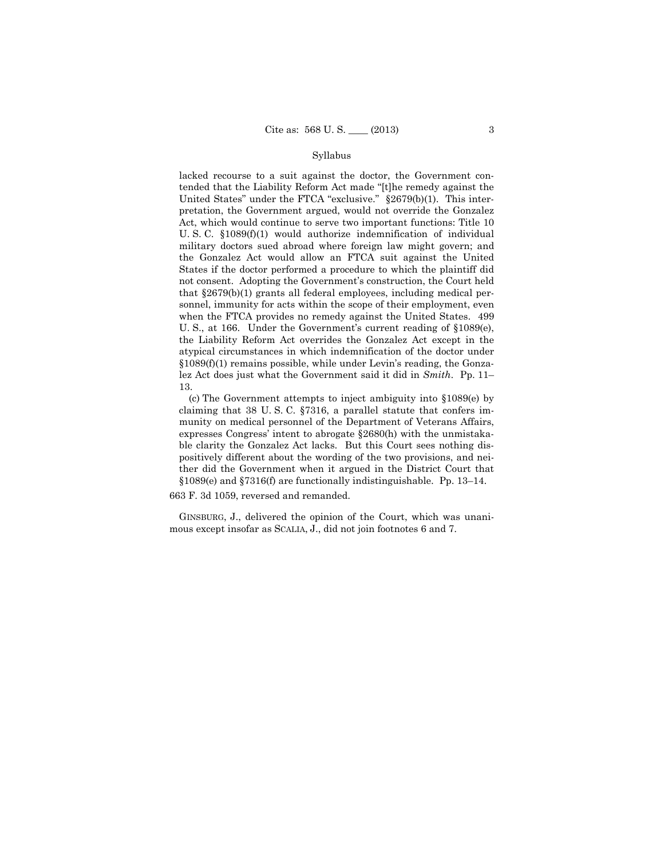### Syllabus

lacked recourse to a suit against the doctor, the Government contended that the Liability Reform Act made "[t]he remedy against the United States" under the FTCA "exclusive." §2679(b)(1). This interpretation, the Government argued, would not override the Gonzalez Act, which would continue to serve two important functions: Title 10 U. S. C. §1089(f)(1) would authorize indemnification of individual military doctors sued abroad where foreign law might govern; and the Gonzalez Act would allow an FTCA suit against the United States if the doctor performed a procedure to which the plaintiff did not consent. Adopting the Government's construction, the Court held that §2679(b)(1) grants all federal employees, including medical personnel, immunity for acts within the scope of their employment, even when the FTCA provides no remedy against the United States. 499 U. S., at 166. Under the Government's current reading of §1089(e), the Liability Reform Act overrides the Gonzalez Act except in the atypical circumstances in which indemnification of the doctor under §1089(f)(1) remains possible, while under Levin's reading, the Gonzalez Act does just what the Government said it did in *Smith*. Pp. 11– 13.

(c) The Government attempts to inject ambiguity into §1089(e) by claiming that 38 U. S. C. §7316, a parallel statute that confers immunity on medical personnel of the Department of Veterans Affairs, expresses Congress' intent to abrogate §2680(h) with the unmistakable clarity the Gonzalez Act lacks. But this Court sees nothing dispositively different about the wording of the two provisions, and neither did the Government when it argued in the District Court that §1089(e) and §7316(f) are functionally indistinguishable. Pp. 13–14.

663 F. 3d 1059, reversed and remanded.

GINSBURG, J., delivered the opinion of the Court, which was unanimous except insofar as SCALIA, J., did not join footnotes 6 and 7.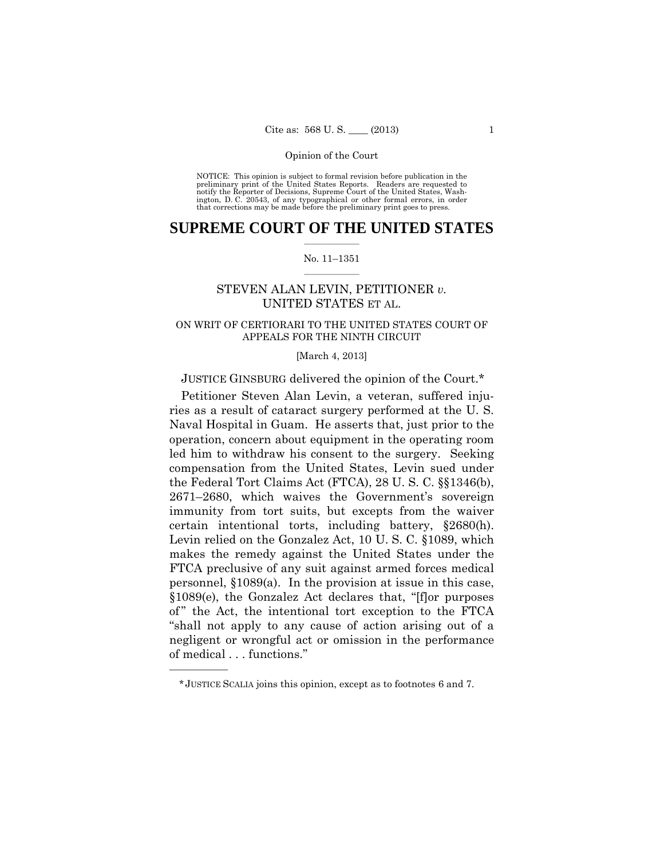preliminary print of the United States Reports. Readers are requested to notify the Reporter of Decisions, Supreme Court of the United States, Wash- ington, D. C. 20543, of any typographical or other formal errors, in order that corrections may be made before the preliminary print goes to press. NOTICE: This opinion is subject to formal revision before publication in the

### $\frac{1}{2}$  ,  $\frac{1}{2}$  ,  $\frac{1}{2}$  ,  $\frac{1}{2}$  ,  $\frac{1}{2}$  ,  $\frac{1}{2}$  ,  $\frac{1}{2}$ **SUPREME COURT OF THE UNITED STATES**

#### $\frac{1}{2}$  ,  $\frac{1}{2}$  ,  $\frac{1}{2}$  ,  $\frac{1}{2}$  ,  $\frac{1}{2}$  ,  $\frac{1}{2}$ No. 11–1351

# STEVEN ALAN LEVIN, PETITIONER *v.* UNITED STATES ET AL.

## ON WRIT OF CERTIORARI TO THE UNITED STATES COURT OF APPEALS FOR THE NINTH CIRCUIT

#### [March 4, 2013]

# JUSTICE GINSBURG delivered the opinion of the Court.\*

 certain intentional torts, including battery, §2680(h). Petitioner Steven Alan Levin, a veteran, suffered injuries as a result of cataract surgery performed at the U. S. Naval Hospital in Guam. He asserts that, just prior to the operation, concern about equipment in the operating room led him to withdraw his consent to the surgery. Seeking compensation from the United States, Levin sued under the Federal Tort Claims Act (FTCA), 28 U. S. C. §§1346(b), 2671–2680, which waives the Government's sovereign immunity from tort suits, but excepts from the waiver Levin relied on the Gonzalez Act, 10 U. S. C. §1089, which makes the remedy against the United States under the FTCA preclusive of any suit against armed forces medical personnel, §1089(a). In the provision at issue in this case, §1089(e), the Gonzalez Act declares that, "[f]or purposes of" the Act, the intentional tort exception to the FTCA "shall not apply to any cause of action arising out of a negligent or wrongful act or omission in the performance of medical . . . functions."

<sup>\*</sup> JUSTICE SCALIA joins this opinion, except as to footnotes 6 and 7.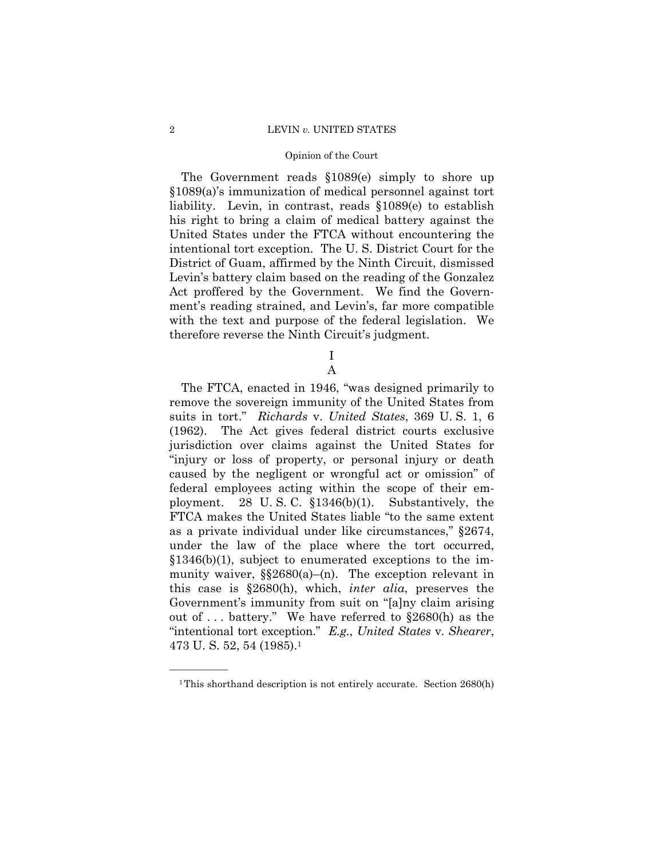#### 2 LEVIN *v.* UNITED STATES

#### Opinion of the Court

The Government reads §1089(e) simply to shore up §1089(a)'s immunization of medical personnel against tort liability. Levin, in contrast, reads §1089(e) to establish his right to bring a claim of medical battery against the United States under the FTCA without encountering the intentional tort exception. The U. S. District Court for the District of Guam, affirmed by the Ninth Circuit, dismissed Levin's battery claim based on the reading of the Gonzalez Act proffered by the Government. We find the Government's reading strained, and Levin's, far more compatible with the text and purpose of the federal legislation. We therefore reverse the Ninth Circuit's judgment.

> I A

The FTCA, enacted in 1946, "was designed primarily to remove the sovereign immunity of the United States from suits in tort." *Richards* v. *United States*, 369 U. S. 1, 6 (1962). The Act gives federal district courts exclusive jurisdiction over claims against the United States for "injury or loss of property, or personal injury or death caused by the negligent or wrongful act or omission" of federal employees acting within the scope of their employment. 28 U. S. C. §1346(b)(1). Substantively, the FTCA makes the United States liable "to the same extent as a private individual under like circumstances," §2674, under the law of the place where the tort occurred,  $$1346(b)(1)$ , subject to enumerated exceptions to the immunity waiver,  $\S$  $2680$ (a)–(n). The exception relevant in this case is §2680(h), which, *inter alia*, preserves the Government's immunity from suit on "[a]ny claim arising out of . . . battery." We have referred to §2680(h) as the "intentional tort exception." *E.g.*, *United States* v. *Shearer*, 473 U. S. 52, 54 (1985).1

<sup>&</sup>lt;sup>1</sup>This shorthand description is not entirely accurate. Section 2680(h)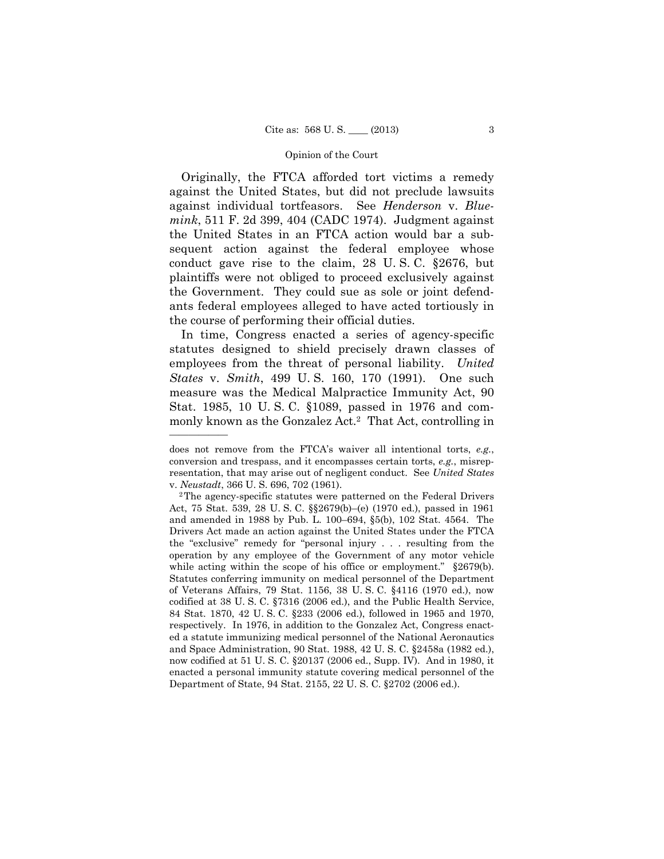Originally, the FTCA afforded tort victims a remedy against the United States, but did not preclude lawsuits against individual tortfeasors. See *Henderson* v. *Bluemink*, 511 F. 2d 399, 404 (CADC 1974). Judgment against the United States in an FTCA action would bar a subsequent action against the federal employee whose conduct gave rise to the claim, 28 U. S. C. §2676, but plaintiffs were not obliged to proceed exclusively against the Government. They could sue as sole or joint defendants federal employees alleged to have acted tortiously in the course of performing their official duties.

In time, Congress enacted a series of agency-specific statutes designed to shield precisely drawn classes of employees from the threat of personal liability. *United States* v. *Smith*, 499 U. S. 160, 170 (1991). One such measure was the Medical Malpractice Immunity Act, 90 Stat. 1985, 10 U. S. C. §1089, passed in 1976 and commonly known as the Gonzalez Act.<sup>2</sup> That Act, controlling in

 conversion and trespass, and it encompasses certain torts, *e.g.*, misrepdoes not remove from the FTCA's waiver all intentional torts, *e.g.*, resentation, that may arise out of negligent conduct. See *United States*  v. *Neustadt*, 366 U. S. 696, 702 (1961). <sup>2</sup>The agency-specific statutes were patterned on the Federal Drivers

 Act, 75 Stat. 539, 28 U. S. C. §§2679(b)–(e) (1970 ed.), passed in 1961 and amended in 1988 by Pub. L. 100–694, §5(b), 102 Stat. 4564. The Drivers Act made an action against the United States under the FTCA the "exclusive" remedy for "personal injury . . . resulting from the operation by any employee of the Government of any motor vehicle while acting within the scope of his office or employment." §2679(b). Statutes conferring immunity on medical personnel of the Department of Veterans Affairs, 79 Stat. 1156, 38 U. S. C. §4116 (1970 ed.), now codified at 38 U. S. C. §7316 (2006 ed.), and the Public Health Service, 84 Stat. 1870, 42 U. S. C. §233 (2006 ed.), followed in 1965 and 1970, respectively. In 1976, in addition to the Gonzalez Act, Congress enacted a statute immunizing medical personnel of the National Aeronautics and Space Administration, 90 Stat. 1988, 42 U. S. C. §2458a (1982 ed.), now codified at 51 U. S. C. §20137 (2006 ed., Supp. IV). And in 1980, it enacted a personal immunity statute covering medical personnel of the Department of State, 94 Stat. 2155, 22 U. S. C. §2702 (2006 ed.).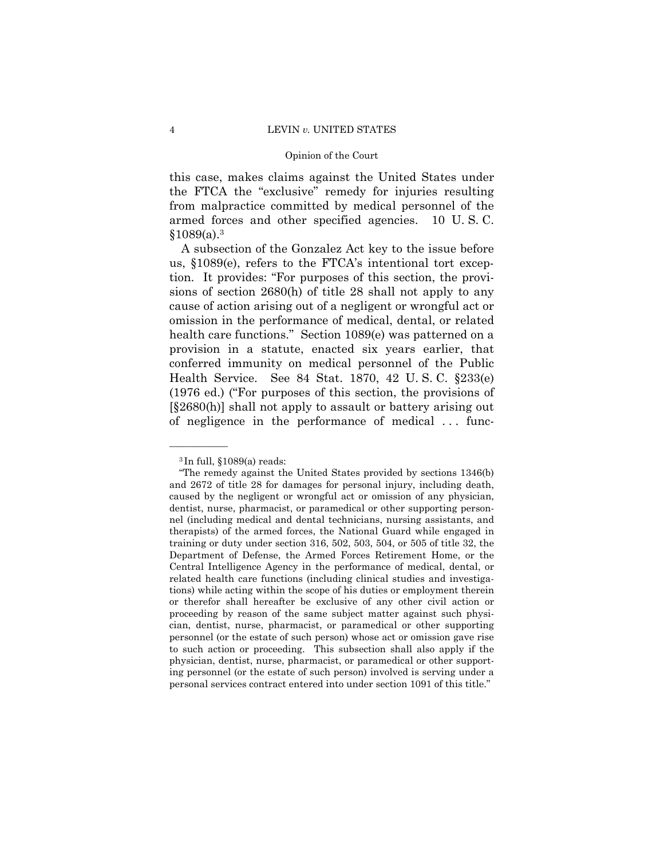this case, makes claims against the United States under the FTCA the "exclusive" remedy for injuries resulting from malpractice committed by medical personnel of the armed forces and other specified agencies. 10 U. S. C.  $$1089(a).<sup>3</sup>$ 

A subsection of the Gonzalez Act key to the issue before us, §1089(e), refers to the FTCA's intentional tort exception. It provides: "For purposes of this section, the provisions of section 2680(h) of title 28 shall not apply to any cause of action arising out of a negligent or wrongful act or omission in the performance of medical, dental, or related health care functions." Section 1089(e) was patterned on a provision in a statute, enacted six years earlier, that conferred immunity on medical personnel of the Public Health Service. See 84 Stat. 1870, 42 U. S. C. §233(e) (1976 ed.) ("For purposes of this section, the provisions of [§2680(h)] shall not apply to assault or battery arising out of negligence in the performance of medical . . . func-

 ${}^{3}$ In full,  $$1089(a)$  reads:

<sup>&</sup>quot;The remedy against the United States provided by sections 1346(b) and 2672 of title 28 for damages for personal injury, including death, caused by the negligent or wrongful act or omission of any physician, dentist, nurse, pharmacist, or paramedical or other supporting personnel (including medical and dental technicians, nursing assistants, and therapists) of the armed forces, the National Guard while engaged in training or duty under section 316, 502, 503, 504, or 505 of title 32, the Department of Defense, the Armed Forces Retirement Home, or the Central Intelligence Agency in the performance of medical, dental, or related health care functions (including clinical studies and investigations) while acting within the scope of his duties or employment therein or therefor shall hereafter be exclusive of any other civil action or proceeding by reason of the same subject matter against such physician, dentist, nurse, pharmacist, or paramedical or other supporting personnel (or the estate of such person) whose act or omission gave rise to such action or proceeding. This subsection shall also apply if the physician, dentist, nurse, pharmacist, or paramedical or other supporting personnel (or the estate of such person) involved is serving under a personal services contract entered into under section 1091 of this title."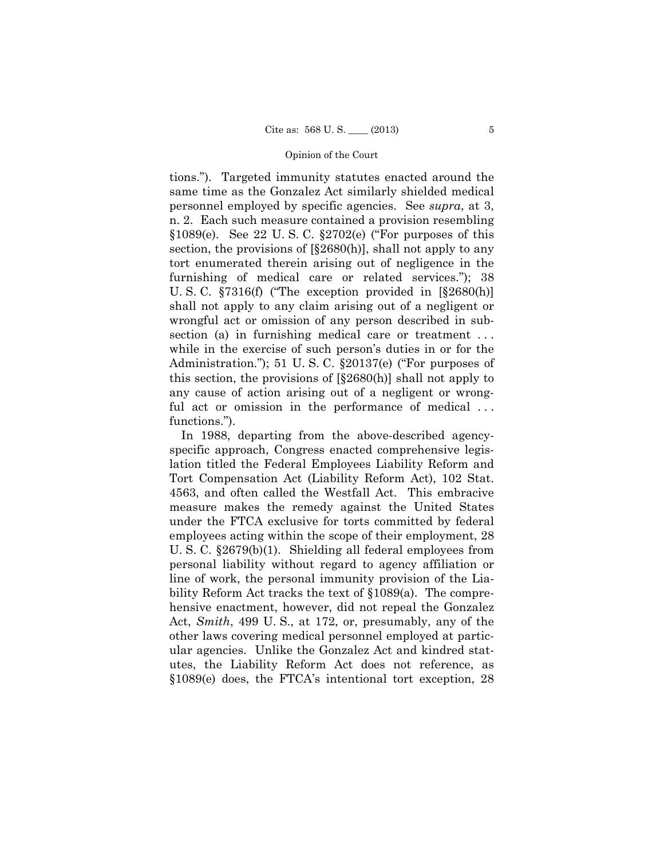tions."). Targeted immunity statutes enacted around the same time as the Gonzalez Act similarly shielded medical personnel employed by specific agencies. See *supra*, at 3, n. 2. Each such measure contained a provision resembling  $§1089(e)$ . See 22 U.S.C.  $§2702(e)$  ("For purposes of this section, the provisions of  $\S2680(h)$ , shall not apply to any tort enumerated therein arising out of negligence in the furnishing of medical care or related services."); 38 U. S. C. §7316(f) ("The exception provided in [§2680(h)] shall not apply to any claim arising out of a negligent or wrongful act or omission of any person described in subsection (a) in furnishing medical care or treatment ... while in the exercise of such person's duties in or for the Administration."); 51 U. S. C. §20137(e) ("For purposes of this section, the provisions of [§2680(h)] shall not apply to any cause of action arising out of a negligent or wrongful act or omission in the performance of medical ... functions.").

In 1988, departing from the above-described agencyspecific approach, Congress enacted comprehensive legislation titled the Federal Employees Liability Reform and Tort Compensation Act (Liability Reform Act), 102 Stat. 4563, and often called the Westfall Act. This embracive measure makes the remedy against the United States under the FTCA exclusive for torts committed by federal employees acting within the scope of their employment, 28 U. S. C. §2679(b)(1). Shielding all federal employees from personal liability without regard to agency affiliation or line of work, the personal immunity provision of the Liability Reform Act tracks the text of §1089(a). The comprehensive enactment, however, did not repeal the Gonzalez Act, *Smith*, 499 U. S., at 172, or, presumably, any of the other laws covering medical personnel employed at particular agencies. Unlike the Gonzalez Act and kindred statutes, the Liability Reform Act does not reference, as §1089(e) does, the FTCA's intentional tort exception, 28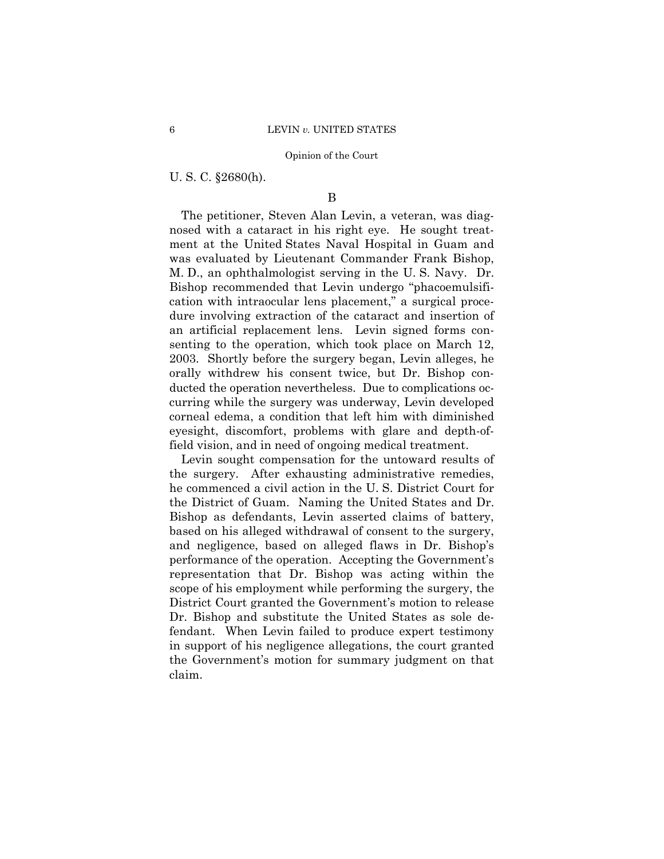U. S. C. §2680(h).

## B

The petitioner, Steven Alan Levin, a veteran, was diagnosed with a cataract in his right eye. He sought treatment at the United States Naval Hospital in Guam and was evaluated by Lieutenant Commander Frank Bishop, M. D., an ophthalmologist serving in the U. S. Navy. Dr. Bishop recommended that Levin undergo "phacoemulsification with intraocular lens placement," a surgical procedure involving extraction of the cataract and insertion of an artificial replacement lens. Levin signed forms consenting to the operation, which took place on March 12, 2003. Shortly before the surgery began, Levin alleges, he orally withdrew his consent twice, but Dr. Bishop conducted the operation nevertheless. Due to complications occurring while the surgery was underway, Levin developed corneal edema, a condition that left him with diminished eyesight, discomfort, problems with glare and depth-offield vision, and in need of ongoing medical treatment.

Levin sought compensation for the untoward results of the surgery. After exhausting administrative remedies, he commenced a civil action in the U. S. District Court for the District of Guam. Naming the United States and Dr. Bishop as defendants, Levin asserted claims of battery, based on his alleged withdrawal of consent to the surgery, and negligence, based on alleged flaws in Dr. Bishop's performance of the operation. Accepting the Government's representation that Dr. Bishop was acting within the scope of his employment while performing the surgery, the District Court granted the Government's motion to release Dr. Bishop and substitute the United States as sole defendant. When Levin failed to produce expert testimony in support of his negligence allegations, the court granted the Government's motion for summary judgment on that claim.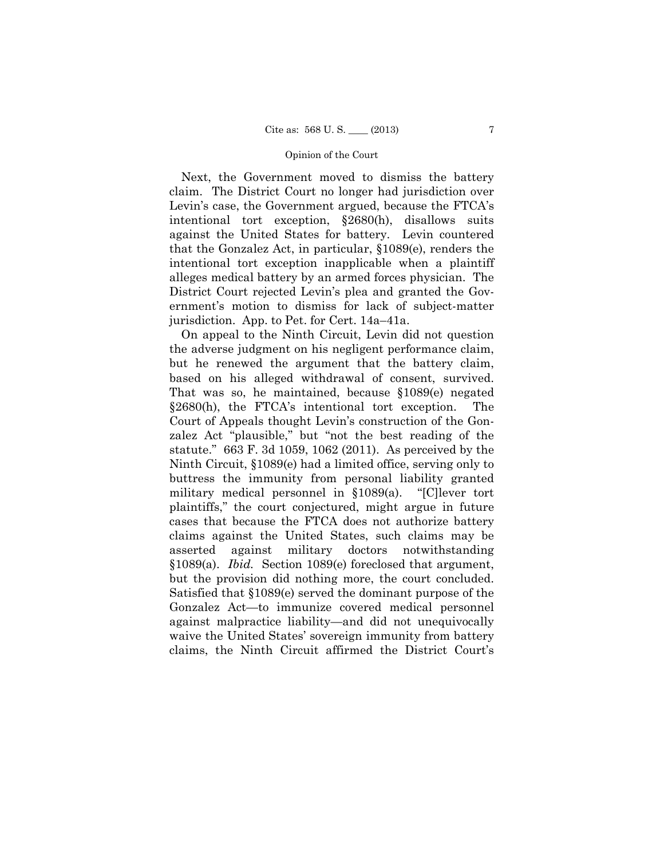Next, the Government moved to dismiss the battery claim. The District Court no longer had jurisdiction over Levin's case, the Government argued, because the FTCA's intentional tort exception, §2680(h), disallows suits against the United States for battery. Levin countered that the Gonzalez Act, in particular, §1089(e), renders the intentional tort exception inapplicable when a plaintiff alleges medical battery by an armed forces physician. The District Court rejected Levin's plea and granted the Government's motion to dismiss for lack of subject-matter jurisdiction. App. to Pet. for Cert. 14a–41a.

On appeal to the Ninth Circuit, Levin did not question the adverse judgment on his negligent performance claim, but he renewed the argument that the battery claim, based on his alleged withdrawal of consent, survived. That was so, he maintained, because §1089(e) negated §2680(h), the FTCA's intentional tort exception. The Court of Appeals thought Levin's construction of the Gonzalez Act "plausible," but "not the best reading of the statute." 663 F. 3d 1059, 1062 (2011). As perceived by the Ninth Circuit, §1089(e) had a limited office, serving only to buttress the immunity from personal liability granted military medical personnel in §1089(a). "[C]lever tort plaintiffs," the court conjectured, might argue in future cases that because the FTCA does not authorize battery claims against the United States, such claims may be asserted against military doctors notwithstanding §1089(a). *Ibid.* Section 1089(e) foreclosed that argument, but the provision did nothing more, the court concluded. Satisfied that §1089(e) served the dominant purpose of the Gonzalez Act—to immunize covered medical personnel against malpractice liability—and did not unequivocally waive the United States' sovereign immunity from battery claims, the Ninth Circuit affirmed the District Court's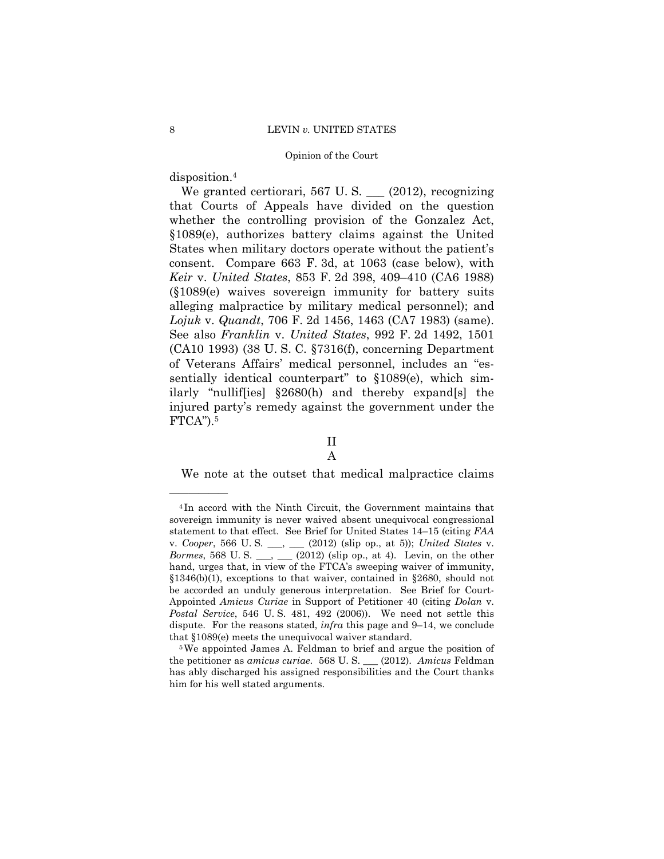disposition.4

——————

 *Lojuk* v. *Quandt*, 706 F. 2d 1456, 1463 (CA7 1983) (same). See also *Franklin* v. *United States*, 992 F. 2d 1492, 1501 We granted certiorari, 567 U.S.  $(2012)$ , recognizing that Courts of Appeals have divided on the question whether the controlling provision of the Gonzalez Act, §1089(e), authorizes battery claims against the United States when military doctors operate without the patient's consent. Compare 663 F. 3d, at 1063 (case below), with *Keir* v. *United States*, 853 F. 2d 398, 409–410 (CA6 1988) (§1089(e) waives sovereign immunity for battery suits alleging malpractice by military medical personnel); and (CA10 1993) (38 U. S. C. §7316(f), concerning Department of Veterans Affairs' medical personnel, includes an "essentially identical counterpart" to  $§1089(e)$ , which similarly "nullif[ies] §2680(h) and thereby expand[s] the injured party's remedy against the government under the  $FTCA$ ").<sup>5</sup>

# II

# A

We note at the outset that medical malpractice claims

<sup>4</sup> In accord with the Ninth Circuit, the Government maintains that sovereign immunity is never waived absent unequivocal congressional statement to that effect. See Brief for United States 14–15 (citing *FAA*  v. *Cooper*, 566 U. S. \_\_\_, \_\_\_ (2012) (slip op., at 5)); *United States* v. *Bormes*, 568 U. S. \_\_, \_\_ (2012) (slip op., at 4). Levin, on the other hand, urges that, in view of the FTCA's sweeping waiver of immunity, §1346(b)(1), exceptions to that waiver, contained in §2680, should not be accorded an unduly generous interpretation. See Brief for Court-Appointed *Amicus Curiae* in Support of Petitioner 40 (citing *Dolan* v. *Postal Service*, 546 U. S. 481, 492 (2006)). We need not settle this dispute. For the reasons stated, *infra* this page and 9–14, we conclude that  $$1089(e)$  meets the unequivocal waiver standard.<br><sup>5</sup>We appointed James A. Feldman to brief and argue the position of

the petitioner as *amicus curiae*. 568 U. S. \_\_\_ (2012). *Amicus* Feldman has ably discharged his assigned responsibilities and the Court thanks him for his well stated arguments.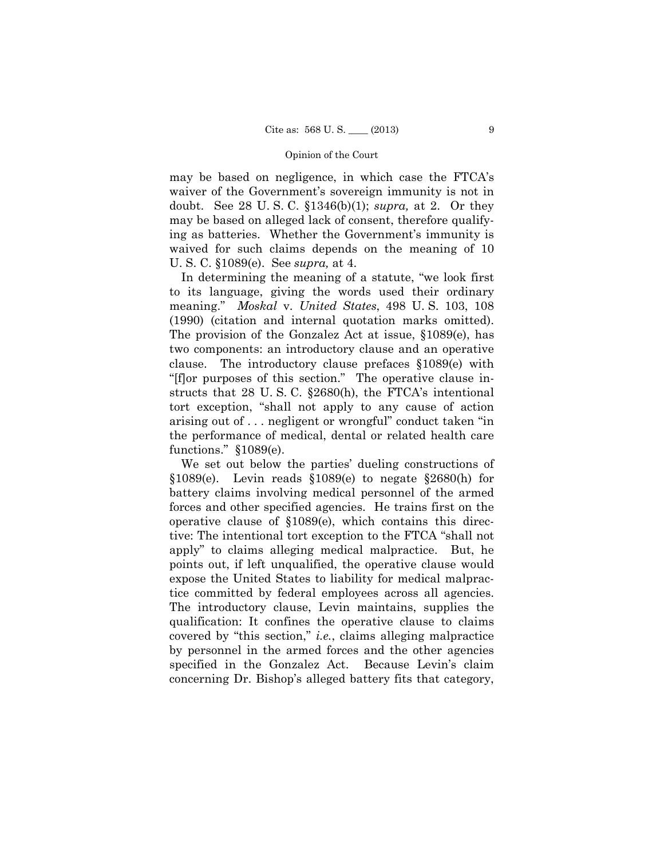may be based on negligence, in which case the FTCA's waiver of the Government's sovereign immunity is not in doubt. See 28 U. S. C. §1346(b)(1); *supra,* at 2. Or they may be based on alleged lack of consent, therefore qualifying as batteries. Whether the Government's immunity is waived for such claims depends on the meaning of 10 U. S. C. §1089(e). See *supra,* at 4.

In determining the meaning of a statute, "we look first to its language, giving the words used their ordinary meaning." *Moskal* v. *United States*, 498 U. S. 103, 108 (1990) (citation and internal quotation marks omitted). The provision of the Gonzalez Act at issue, §1089(e), has two components: an introductory clause and an operative clause. The introductory clause prefaces §1089(e) with "[f]or purposes of this section." The operative clause instructs that 28 U. S. C. §2680(h), the FTCA's intentional tort exception, "shall not apply to any cause of action arising out of . . . negligent or wrongful" conduct taken "in the performance of medical, dental or related health care functions." §1089(e).

We set out below the parties' dueling constructions of  $$1089(e)$ . Levin reads  $$1089(e)$  to negate  $$2680(h)$  for battery claims involving medical personnel of the armed forces and other specified agencies. He trains first on the operative clause of §1089(e), which contains this directive: The intentional tort exception to the FTCA "shall not apply" to claims alleging medical malpractice. But, he points out, if left unqualified, the operative clause would expose the United States to liability for medical malpractice committed by federal employees across all agencies. The introductory clause, Levin maintains, supplies the qualification: It confines the operative clause to claims covered by "this section," *i.e.*, claims alleging malpractice by personnel in the armed forces and the other agencies specified in the Gonzalez Act. Because Levin's claim concerning Dr. Bishop's alleged battery fits that category,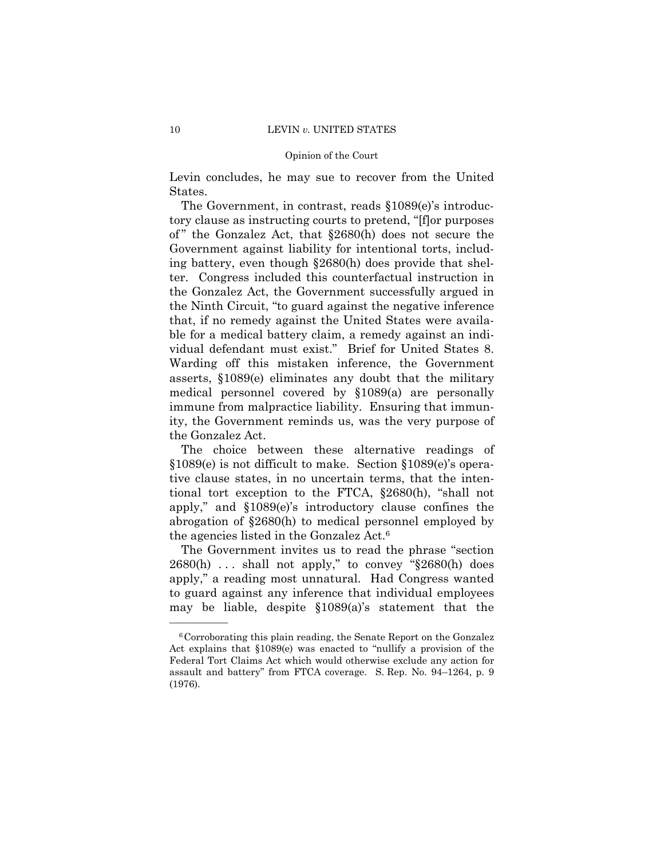#### 10 LEVIN *v.* UNITED STATES

#### Opinion of the Court

Levin concludes, he may sue to recover from the United States.

The Government, in contrast, reads §1089(e)'s introductory clause as instructing courts to pretend, "[f]or purposes of" the Gonzalez Act, that §2680(h) does not secure the Government against liability for intentional torts, including battery, even though §2680(h) does provide that shelter. Congress included this counterfactual instruction in the Gonzalez Act, the Government successfully argued in the Ninth Circuit, "to guard against the negative inference that, if no remedy against the United States were available for a medical battery claim, a remedy against an individual defendant must exist." Brief for United States 8. Warding off this mistaken inference, the Government asserts, §1089(e) eliminates any doubt that the military medical personnel covered by §1089(a) are personally immune from malpractice liability. Ensuring that immunity, the Government reminds us, was the very purpose of the Gonzalez Act.

 the agencies listed in the Gonzalez Act.6 The choice between these alternative readings of §1089(e) is not difficult to make. Section §1089(e)'s operative clause states, in no uncertain terms, that the intentional tort exception to the FTCA, §2680(h), "shall not apply," and §1089(e)'s introductory clause confines the abrogation of §2680(h) to medical personnel employed by

The Government invites us to read the phrase "section  $2680(h)$  ... shall not apply," to convey " $\S 2680(h)$  does apply," a reading most unnatural. Had Congress wanted to guard against any inference that individual employees may be liable, despite §1089(a)'s statement that the

<sup>6</sup>Corroborating this plain reading, the Senate Report on the Gonzalez Act explains that §1089(e) was enacted to "nullify a provision of the Federal Tort Claims Act which would otherwise exclude any action for assault and battery" from FTCA coverage. S. Rep. No. 94–1264, p. 9 (1976).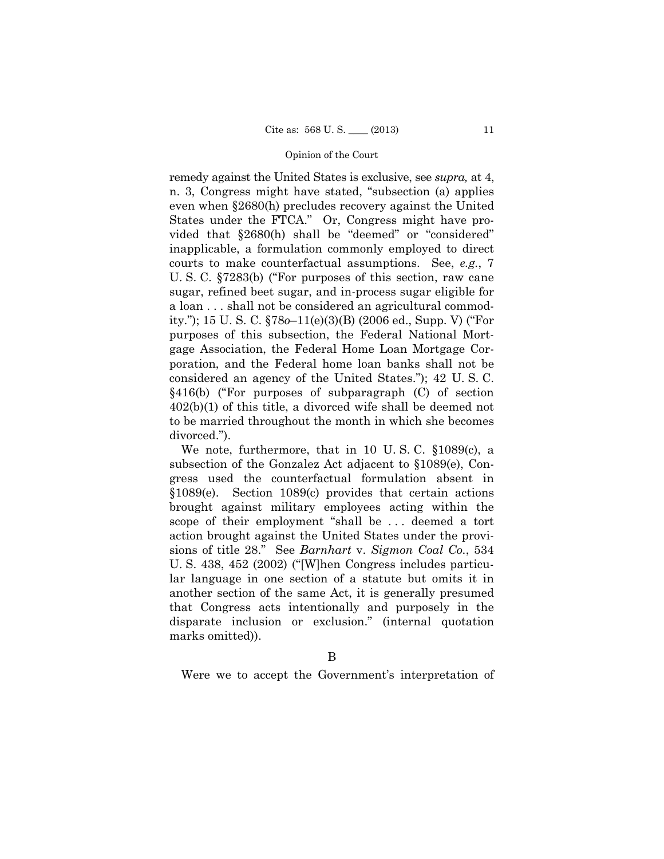remedy against the United States is exclusive, see *supra,* at 4, n. 3, Congress might have stated, "subsection (a) applies even when §2680(h) precludes recovery against the United States under the FTCA." Or, Congress might have provided that §2680(h) shall be "deemed" or "considered" inapplicable, a formulation commonly employed to direct courts to make counterfactual assumptions. See, *e.g.*, 7 U. S. C. §7283(b) ("For purposes of this section, raw cane sugar, refined beet sugar, and in-process sugar eligible for a loan . . . shall not be considered an agricultural commodity."); 15 U. S. C. §78*o*–11(e)(3)(B) (2006 ed., Supp. V) ("For purposes of this subsection, the Federal National Mortgage Association, the Federal Home Loan Mortgage Corporation, and the Federal home loan banks shall not be considered an agency of the United States."); 42 U. S. C. §416(b) ("For purposes of subparagraph (C) of section 402(b)(1) of this title, a divorced wife shall be deemed not to be married throughout the month in which she becomes divorced.").

We note, furthermore, that in 10 U. S. C. §1089(c), a subsection of the Gonzalez Act adjacent to §1089(e), Congress used the counterfactual formulation absent in §1089(e). Section 1089(c) provides that certain actions brought against military employees acting within the scope of their employment "shall be . . . deemed a tort action brought against the United States under the provisions of title 28." See *Barnhart* v. *Sigmon Coal Co.*, 534 U. S. 438, 452 (2002) ("[W]hen Congress includes particular language in one section of a statute but omits it in another section of the same Act, it is generally presumed that Congress acts intentionally and purposely in the disparate inclusion or exclusion." (internal quotation marks omitted)).

Were we to accept the Government's interpretation of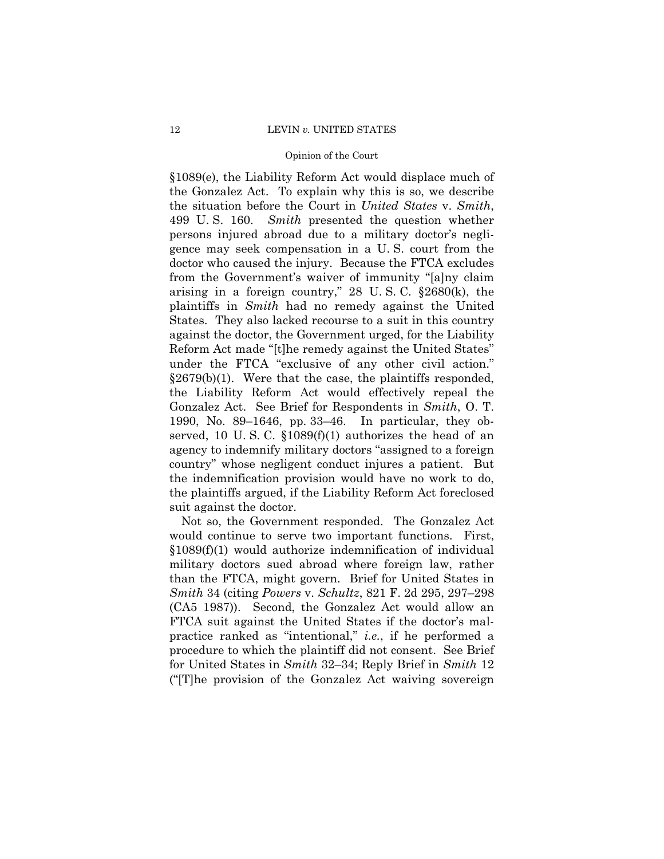§1089(e), the Liability Reform Act would displace much of the Gonzalez Act. To explain why this is so, we describe the situation before the Court in *United States* v. *Smith*, 499 U. S. 160. *Smith* presented the question whether persons injured abroad due to a military doctor's negligence may seek compensation in a U. S. court from the doctor who caused the injury. Because the FTCA excludes from the Government's waiver of immunity "[a]ny claim arising in a foreign country," 28 U. S. C. §2680(k), the plaintiffs in *Smith* had no remedy against the United States. They also lacked recourse to a suit in this country against the doctor, the Government urged, for the Liability Reform Act made "[t]he remedy against the United States" under the FTCA "exclusive of any other civil action."  $\S 2679(b)(1)$ . Were that the case, the plaintiffs responded, the Liability Reform Act would effectively repeal the Gonzalez Act. See Brief for Respondents in *Smith*, O. T. 1990, No. 89–1646, pp. 33–46. In particular, they observed, 10 U.S.C.  $$1089(f)(1)$  authorizes the head of an agency to indemnify military doctors "assigned to a foreign country" whose negligent conduct injures a patient. But the indemnification provision would have no work to do, the plaintiffs argued, if the Liability Reform Act foreclosed suit against the doctor.

Not so, the Government responded. The Gonzalez Act would continue to serve two important functions. First, §1089(f)(1) would authorize indemnification of individual military doctors sued abroad where foreign law, rather than the FTCA, might govern. Brief for United States in *Smith* 34 (citing *Powers* v. *Schultz*, 821 F. 2d 295, 297–298 (CA5 1987)). Second, the Gonzalez Act would allow an FTCA suit against the United States if the doctor's malpractice ranked as "intentional," *i.e.*, if he performed a procedure to which the plaintiff did not consent. See Brief for United States in *Smith* 32–34; Reply Brief in *Smith* 12 ("[T]he provision of the Gonzalez Act waiving sovereign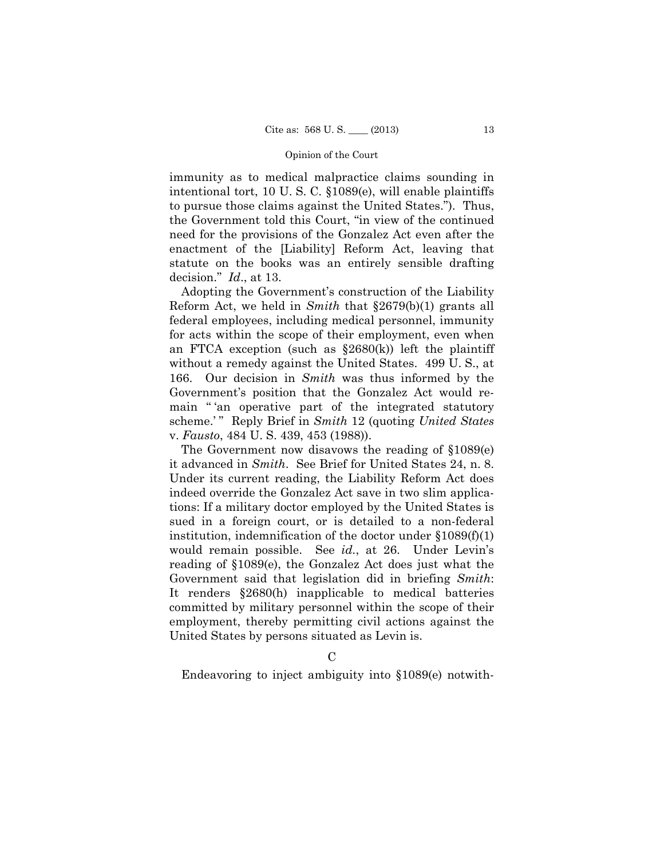immunity as to medical malpractice claims sounding in intentional tort, 10 U. S. C. §1089(e), will enable plaintiffs to pursue those claims against the United States."). Thus, the Government told this Court, "in view of the continued need for the provisions of the Gonzalez Act even after the enactment of the [Liability] Reform Act, leaving that statute on the books was an entirely sensible drafting decision." *Id*., at 13.

Adopting the Government's construction of the Liability Reform Act, we held in *Smith* that §2679(b)(1) grants all federal employees, including medical personnel, immunity for acts within the scope of their employment, even when an FTCA exception (such as  $\S 2680(k)$ ) left the plaintiff without a remedy against the United States. 499 U. S., at 166. Our decision in *Smith* was thus informed by the Government's position that the Gonzalez Act would remain "'an operative part of the integrated statutory scheme.'" Reply Brief in *Smith* 12 (quoting *United States* v. *Fausto*, 484 U. S. 439, 453 (1988)).

The Government now disavows the reading of §1089(e) it advanced in *Smith*. See Brief for United States 24, n. 8. Under its current reading, the Liability Reform Act does indeed override the Gonzalez Act save in two slim applications: If a military doctor employed by the United States is sued in a foreign court, or is detailed to a non-federal institution, indemnification of the doctor under  $$1089(f)(1)$ would remain possible. See *id.*, at 26. Under Levin's reading of §1089(e), the Gonzalez Act does just what the Government said that legislation did in briefing *Smith*: It renders §2680(h) inapplicable to medical batteries committed by military personnel within the scope of their employment, thereby permitting civil actions against the United States by persons situated as Levin is.

Endeavoring to inject ambiguity into §1089(e) notwith-

 $\Gamma$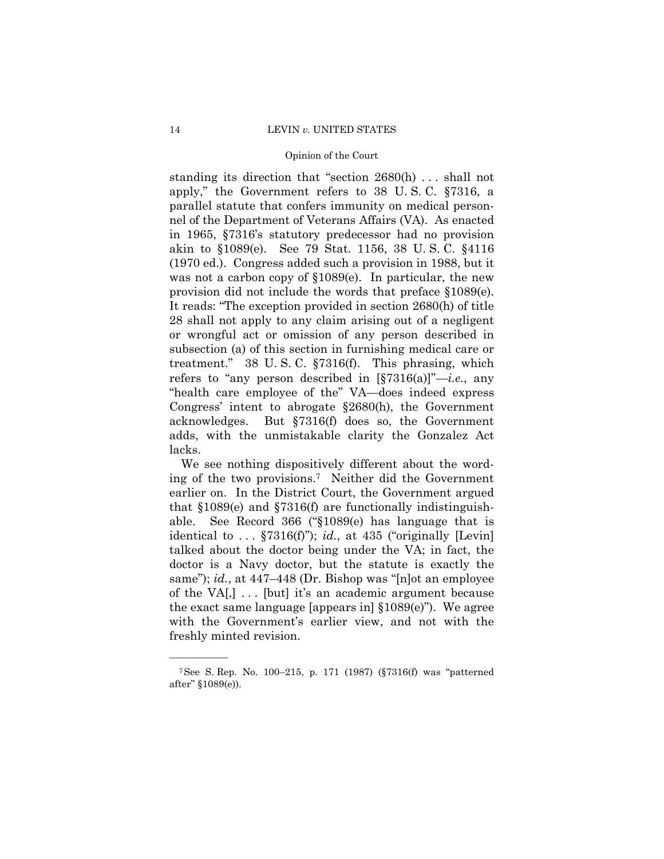standing its direction that "section 2680(h) . . . shall not apply," the Government refers to 38 U. S. C. §7316, a parallel statute that confers immunity on medical personnel of the Department of Veterans Affairs (VA). As enacted in 1965, §7316's statutory predecessor had no provision akin to §1089(e). See 79 Stat. 1156, 38 U. S. C. §4116 (1970 ed.). Congress added such a provision in 1988, but it was not a carbon copy of  $$1089(e)$ . In particular, the new provision did not include the words that preface §1089(e). It reads: "The exception provided in section 2680(h) of title 28 shall not apply to any claim arising out of a negligent or wrongful act or omission of any person described in subsection (a) of this section in furnishing medical care or treatment." 38 U. S. C. §7316(f). This phrasing, which refers to "any person described in [§7316(a)]"—*i.e.*, any "health care employee of the" VA—does indeed express Congress' intent to abrogate §2680(h), the Government acknowledges. But §7316(f) does so, the Government adds, with the unmistakable clarity the Gonzalez Act lacks.

We see nothing dispositively different about the wording of the two provisions.7 Neither did the Government earlier on. In the District Court, the Government argued that §1089(e) and §7316(f) are functionally indistinguishable. See Record 366 ("§1089(e) has language that is identical to  $\ldots$  §7316(f)"); *id.*, at 435 ("originally [Levin] talked about the doctor being under the VA; in fact, the doctor is a Navy doctor, but the statute is exactly the same"); *id.*, at 447–448 (Dr. Bishop was "[n]ot an employee of the VA $[$ ,  $] \ldots$  [but] it's an academic argument because the exact same language [appears in] §1089(e)"). We agree with the Government's earlier view, and not with the freshly minted revision.

<sup>7</sup>See S. Rep. No. 100–215, p. 171 (1987) (§7316(f) was "patterned after" §1089(e)).